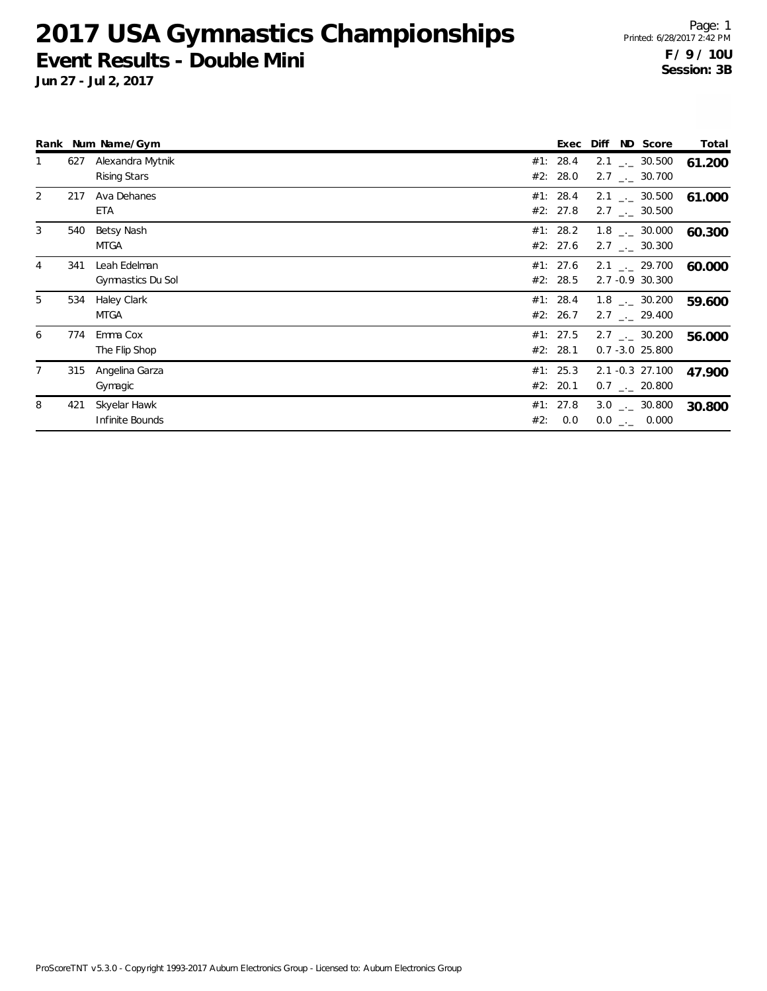**Jun 27 - Jul 2, 2017**

|              |     | Rank Num Name/Gym                 | ND Score<br>Diff<br>Exec                                                             | Total  |
|--------------|-----|-----------------------------------|--------------------------------------------------------------------------------------|--------|
| $\mathbf{1}$ | 627 | Alexandra Mytnik<br>Rising Stars  | #1: 28.4<br>$2.1$ $_{\leftarrow}$ 30.500<br>#2: 28.0<br>$2.7$ $_{\leftarrow}$ 30.700 | 61.200 |
| 2            | 217 | Ava Dehanes<br>ETA                | #1: 28.4<br>$2.1$ $_{\leftarrow}$ 30.500<br>#2: 27.8<br>$2.7$ $_{\leftarrow}$ 30.500 | 61.000 |
| 3            | 540 | Betsy Nash<br>MTGA                | #1: 28.2<br>$1.8$ $_{\leftarrow}$ 30.000<br>#2: 27.6<br>$2.7$ $_{\leftarrow}$ 30.300 | 60.300 |
| 4            | 341 | Leah Edelman<br>Gymnastics Du Sol | #1: 27.6<br>2.1 $\frac{1}{2}$ 29.700<br>#2: 28.5<br>2.7 -0.9 30.300                  | 60.000 |
| 5            | 534 | Haley Clark<br>MTGA               | #1: 28.4<br>$1.8$ $_{\sim}$ 30.200<br>#2: 26.7<br>$2.7$ $_{\leftarrow}$ 29.400       | 59.600 |
| 6            | 774 | Emma Cox<br>The Flip Shop         | #1: 27.5<br>$2.7$ $_{\sim}$ 30.200<br>#2: 28.1<br>$0.7 - 3.0$ 25.800                 | 56.000 |
| 7            | 315 | Angelina Garza<br>Gymagic         | #1: 25.3<br>2.1 -0.3 27.100<br>#2: 20.1<br>$0.7$ $-.$ 20.800                         | 47.900 |
| 8            | 421 | Skyelar Hawk<br>Infinite Bounds   | #1: 27.8<br>$3.0$ $_{\leftarrow}$ 30.800<br>0.0<br>#2:<br>$0.0$ _ 0.000              | 30.800 |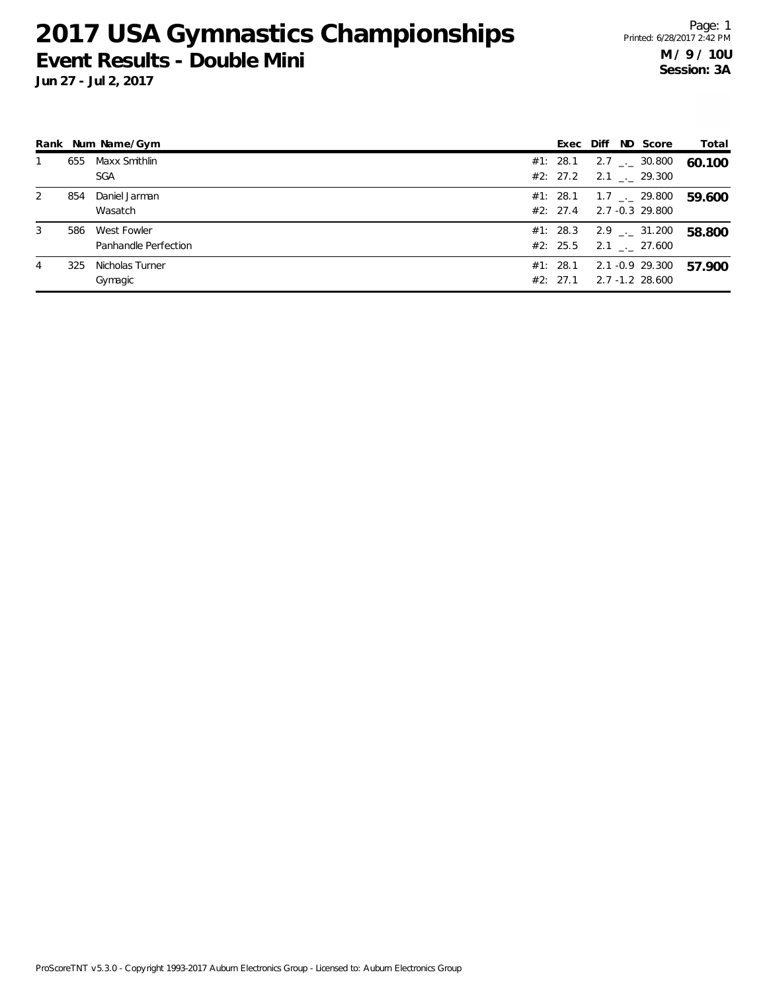**Jun 27 - Jul 2, 2017**

Page: 1 Printed: 6/28/2017 2:42 PM **M / 9 / 10U Session: 3A**

|   |     | Rank Num Name/Gym                   |                      |  | Exec Diff ND Score                                         | Total  |
|---|-----|-------------------------------------|----------------------|--|------------------------------------------------------------|--------|
|   | 655 | Maxx Smithlin<br><b>SGA</b>         | #1: 28.1<br>#2: 27.2 |  | 2.7 $\qquad$ 2.7 $\qquad$ 30.800<br>$2.1$ $_{\sim}$ 29.300 | 60.100 |
| 2 | 854 | Daniel Jarman<br>Wasatch            | #1: 28.1<br>#2: 27.4 |  | $1.7$ $_{\leftarrow}$ 29.800<br>2.7 -0.3 29.800            | 59.600 |
| 3 | 586 | West Fowler<br>Panhandle Perfection | #1: 28.3<br>#2: 25.5 |  | $2.9$ $_{\leftarrow}$ 31.200<br>$2.1$ $_{-1}$ 27.600       | 58.800 |
| 4 | 325 | Nicholas Turner<br>Gymagic          | #1: 28.1<br>#2: 27.1 |  | 2.1 -0.9 29.300<br>2.7 -1.2 28.600                         | 57.900 |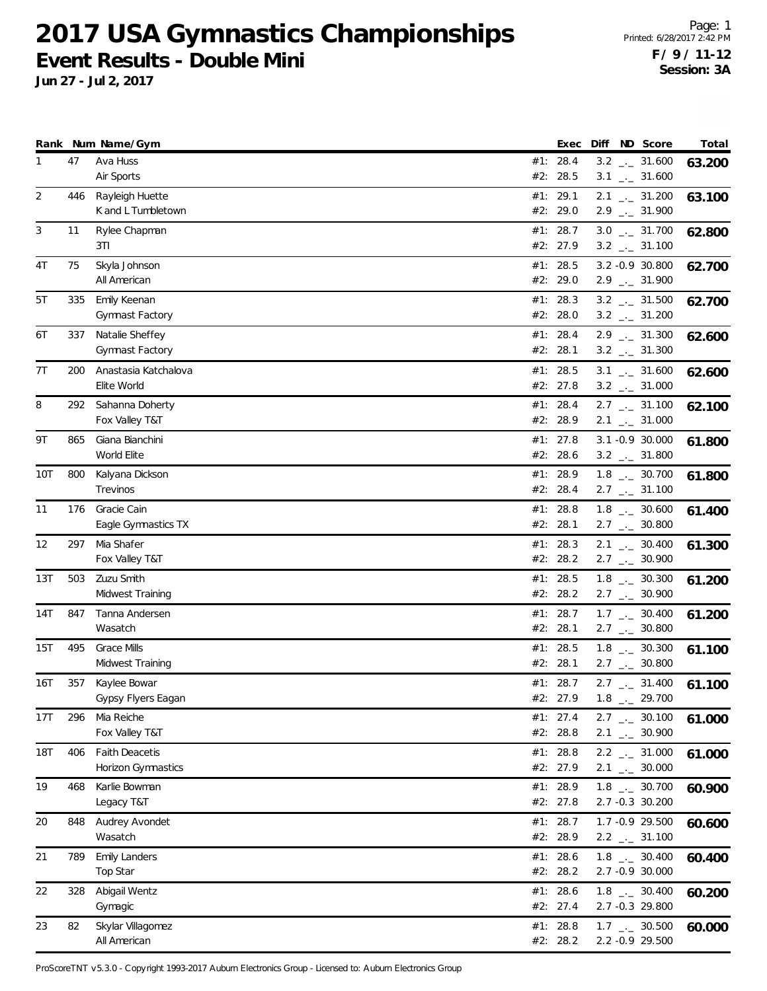**Jun 27 - Jul 2, 2017**

Page: 1 Printed: 6/28/2017 2:42 PM **F / 9 / 11-12 Session: 3A**

|              |     | Rank Num Name/Gym                           | Exec                 |  | Diff ND Score                                                  | Total  |
|--------------|-----|---------------------------------------------|----------------------|--|----------------------------------------------------------------|--------|
| $\mathbf{1}$ | 47  | Ava Huss<br>Air Sports                      | #1: 28.4<br>#2: 28.5 |  | $3.2$ _ $-31.600$<br>$3.1$ $_{-1}$ 31.600                      | 63.200 |
| 2            | 446 | Rayleigh Huette<br>K and L Tumbletown       | #1: 29.1<br>#2: 29.0 |  | $2.1$ $_{\leftarrow}$ 31.200<br>$2.9$ $_{\leftarrow}$ 31.900   | 63.100 |
| 3            | 11  | Rylee Chapman<br>3TI                        | #1: 28.7<br>#2: 27.9 |  | $3.0$ _ $-31.700$<br>$3.2$ $_{-}$ 31.100                       | 62.800 |
| 4T           | 75  | Skyla Johnson<br>All American               | #1: 28.5<br>#2: 29.0 |  | 3.2 -0.9 30.800<br>$2.9$ $_{\leftarrow}$ 31.900                | 62.700 |
| 5T           | 335 | Emily Keenan<br>Gymnast Factory             | #1: 28.3<br>#2: 28.0 |  | $3.2$ $_{\leftarrow}$ 31.500<br>$3.2$ _ $-31.200$              | 62.700 |
| 6T           | 337 | Natalie Sheffey<br>Gymnast Factory          | #1: 28.4<br>#2: 28.1 |  | $2.9$ $_{-1}$ 31.300<br>$3.2$ $_{-}$ 31.300                    | 62.600 |
| 7T           | 200 | Anastasia Katchalova<br>Elite World         | #1: 28.5<br>#2: 27.8 |  | $3.1$ $_{-1}$ 31.600<br>$3.2$ _ $-31.000$                      | 62.600 |
| 8            | 292 | Sahanna Doherty<br>Fox Valley T&T           | #1: 28.4<br>#2: 28.9 |  | $2.7$ $_{\leftarrow -}$ 31.100<br>$2.1$ $_{\leftarrow}$ 31.000 | 62.100 |
| 9Τ           | 865 | Giana Bianchini<br>World Elite              | #1: 27.8<br>#2: 28.6 |  | 3.1 -0.9 30.000<br>$3.2$ _ $-31.800$                           | 61.800 |
| 10T          | 800 | Kalyana Dickson<br>Trevinos                 | #1: 28.9<br>#2: 28.4 |  | $1.8$ $_{\leftarrow}$ 30.700<br>$2.7$ $_{\leftarrow}$ 31.100   | 61.800 |
| 11           | 176 | Gracie Cain<br>Eagle Gymnastics TX          | #1: 28.8<br>#2: 28.1 |  | $1.8$ $_{\leftarrow}$ 30.600<br>$2.7$ _ $-$ 30.800             | 61.400 |
| 12           | 297 | Mia Shafer<br>Fox Valley T&T                | #1: 28.3<br>#2: 28.2 |  | $2.1$ $_{\leftarrow}$ 30.400<br>$2.7$ $_{\leftarrow}$ 30.900   | 61.300 |
| 13T          | 503 | Zuzu Smith<br>Midwest Training              | #1: 28.5<br>#2: 28.2 |  | $1.8$ $_{-}$ 30.300<br>$2.7$ $_{\leftarrow}$ 30.900            | 61.200 |
| 14T          | 847 | Tanna Andersen<br>Wasatch                   | #1: 28.7<br>#2: 28.1 |  | $1.7$ $_{\leftarrow}$ 30.400<br>$2.7$ $_{\leftarrow}$ 30.800   | 61.200 |
| 15T          | 495 | <b>Grace Mills</b><br>Midwest Training      | #1: 28.5<br>#2: 28.1 |  | $1.8$ $_{-}$ 30.300<br>$2.7$ $_{\leftarrow}$ 30.800            | 61.100 |
| 16T          | 357 | Kaylee Bowar<br>Gypsy Flyers Eagan          | #1: 28.7<br>#2: 27.9 |  | $2.7$ $_{\leftarrow}$ 31.400<br>$1.8$ $_{\leftarrow}$ 29.700   | 61.100 |
| 17T          | 296 | Mia Reiche<br>Fox Valley T&T                | #1: 27.4<br>#2: 28.8 |  | $2.7$ $_{\leftarrow}$ 30.100<br>$2.1$ $_{-1}$ 30.900           | 61.000 |
| 18T          | 406 | <b>Faith Deacetis</b><br>Horizon Gymnastics | #1: 28.8<br>#2: 27.9 |  | $2.2$ $_{\leftarrow}$ 31.000<br>$2.1$ $_{\leftarrow}$ 30.000   | 61.000 |
| 19           | 468 | Karlie Bowman<br>Legacy T&T                 | #1: 28.9<br>#2: 27.8 |  | $1.8$ $_{-}$ 30.700<br>2.7 -0.3 30.200                         | 60.900 |
| 20           | 848 | Audrey Avondet<br>Wasatch                   | #1: 28.7<br>#2: 28.9 |  | 1.7 -0.9 29.500<br>$2.2$ $_{-}$ 31.100                         | 60.600 |
| 21           | 789 | <b>Emily Landers</b><br>Top Star            | #1: 28.6<br>#2: 28.2 |  | $1.8$ $_{\leftarrow}$ 30.400<br>2.7 -0.9 30.000                | 60.400 |
| 22           | 328 | Abigail Wentz<br>Gymagic                    | #1: 28.6<br>#2: 27.4 |  | $1.8$ $_{\leftarrow}$ 30.400<br>2.7 -0.3 29.800                | 60.200 |
| 23           | 82  | Skylar Villagomez<br>All American           | #1: 28.8<br>#2: 28.2 |  | $1.7$ _ $-30.500$<br>2.2 -0.9 29.500                           | 60.000 |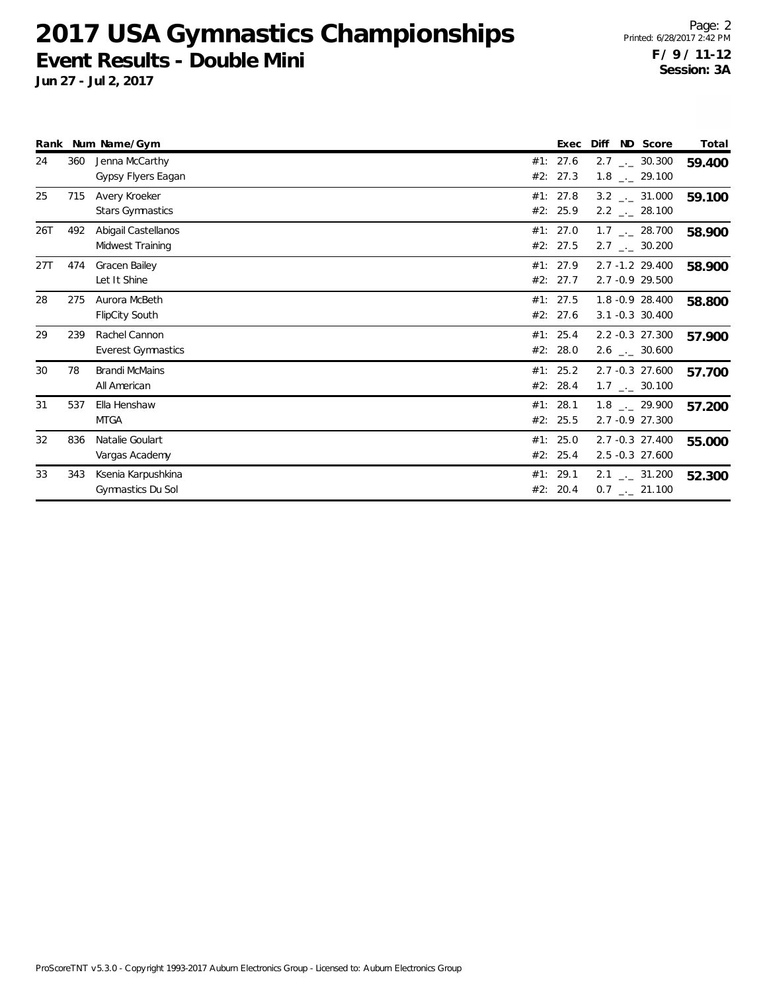**Jun 27 - Jul 2, 2017**

|     |     | Rank Num Name/Gym                          |     | Exec                 | Diff<br>ND Score                                             | Total  |
|-----|-----|--------------------------------------------|-----|----------------------|--------------------------------------------------------------|--------|
| 24  | 360 | Jenna McCarthy<br>Gypsy Flyers Eagan       | #1: | 27.6<br>#2: 27.3     | $2.7$ $_{\leftarrow}$ 30.300<br>$1.8$ $_{\leftarrow}$ 29.100 | 59.400 |
| 25  | 715 | Avery Kroeker<br><b>Stars Gymnastics</b>   |     | #1: 27.8<br>#2: 25.9 | $3.2$ $_{\leftarrow}$ 31.000<br>$2.2$ $_{\leftarrow}$ 28.100 | 59.100 |
| 26T | 492 | Abigail Castellanos<br>Midwest Training    |     | #1: 27.0<br>#2: 27.5 | $1.7$ $_{\leftarrow}$ 28.700<br>$2.7$ $_{\leftarrow}$ 30.200 | 58.900 |
| 27T | 474 | Gracen Bailey<br>Let It Shine              |     | #1: 27.9<br>#2: 27.7 | $2.7 - 1.2$ 29.400<br>2.7 -0.9 29.500                        | 58.900 |
| 28  | 275 | Aurora McBeth<br><b>FlipCity South</b>     |     | #1: 27.5<br>#2: 27.6 | 1.8 - 0.9 28.400<br>3.1 -0.3 30.400                          | 58.800 |
| 29  | 239 | Rachel Cannon<br><b>Everest Gymnastics</b> |     | #1: 25.4<br>#2: 28.0 | 2.2 -0.3 27.300<br>$2.6$ _._ 30.600                          | 57.900 |
| 30  | 78  | <b>Brandi McMains</b><br>All American      |     | #1: 25.2<br>#2: 28.4 | 2.7 -0.3 27.600<br>$1.7$ $_{\leftarrow}$ 30.100              | 57.700 |
| 31  | 537 | Ella Henshaw<br><b>MTGA</b>                |     | #1: 28.1<br>#2: 25.5 | $1.8$ $_{\sim}$ 29.900<br>2.7 -0.9 27.300                    | 57.200 |
| 32  | 836 | Natalie Goulart<br>Vargas Academy          | #2: | #1: 25.0<br>25.4     | 2.7 -0.3 27.400<br>2.5 -0.3 27.600                           | 55.000 |
| 33  | 343 | Ksenia Karpushkina<br>Gymnastics Du Sol    | #1: | 29.1<br>#2: 20.4     | $2.1$ $_{\leftarrow}$ 31.200<br>$0.7$ $_{\leftarrow}$ 21.100 | 52.300 |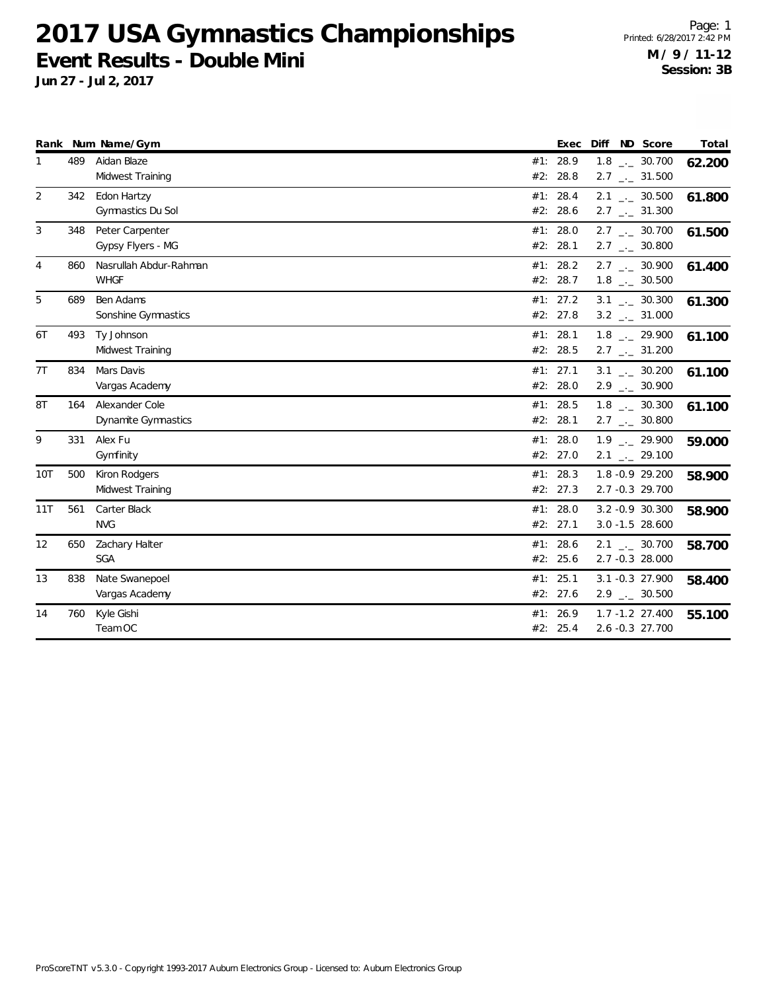**Jun 27 - Jul 2, 2017**

Page: 1 Printed: 6/28/2017 2:42 PM **M / 9 / 11-12 Session: 3B**

| Rank |     | Num Name/Gym           |     | Exec     | Diff<br>ND Score             | Total  |
|------|-----|------------------------|-----|----------|------------------------------|--------|
|      | 489 | Aidan Blaze            |     | #1: 28.9 | $1.8$ $_{-1}$ 30.700         | 62.200 |
|      |     | Midwest Training       |     | #2: 28.8 | $2.7$ $_{\leftarrow}$ 31.500 |        |
| 2    | 342 | Edon Hartzy            |     | #1: 28.4 | $2.1$ _._ 30.500             | 61.800 |
|      |     | Gymnastics Du Sol      |     | #2: 28.6 | $2.7$ $_{\leftarrow}$ 31.300 |        |
| 3    | 348 | Peter Carpenter        | #1: | 28.0     | $2.7$ _._ 30.700             | 61.500 |
|      |     | Gypsy Flyers - MG      |     | #2: 28.1 | $2.7$ $_{\leftarrow}$ 30.800 |        |
| 4    | 860 | Nasrullah Abdur-Rahman |     | #1: 28.2 | $2.7$ $_{\leftarrow}$ 30.900 | 61.400 |
|      |     | <b>WHGF</b>            |     | #2: 28.7 | $1.8$ _ $-30.500$            |        |
| 5    | 689 | Ben Adams              |     | #1: 27.2 | $3.1$ _ $-30.300$            | 61.300 |
|      |     | Sonshine Gymnastics    |     | #2: 27.8 | $3.2$ __ 31.000              |        |
| 6T   | 493 | Ty Johnson             |     | #1: 28.1 | $1.8$ $_{-}$ 29.900          | 61.100 |
|      |     | Midwest Training       |     | #2: 28.5 | $2.7$ $_{\leftarrow}$ 31.200 |        |
| 7T   | 834 | Mars Davis             |     | #1: 27.1 | $3.1$ $_{-1}$ 30.200         | 61.100 |
|      |     | Vargas Academy         |     | #2: 28.0 | $2.9$ $_{\leftarrow}$ 30.900 |        |
| 8T   | 164 | Alexander Cole         | #1: | 28.5     | $1.8$ _._ 30.300             | 61.100 |
|      |     | Dynamite Gymnastics    |     | #2: 28.1 | $2.7$ $_{\leftarrow}$ 30.800 |        |
| 9    | 331 | Alex Fu                |     | #1: 28.0 | $1.9$ $_{-1}$ 29.900         | 59.000 |
|      |     | Gymfinity              |     | #2: 27.0 | $2.1$ $_{\leftarrow}$ 29.100 |        |
| 10T  | 500 | Kiron Rodgers          |     | #1: 28.3 | 1.8 - 0.9 29.200             | 58.900 |
|      |     | Midwest Training       |     | #2: 27.3 | 2.7 -0.3 29.700              |        |
| 11T  | 561 | Carter Black           |     | #1: 28.0 | 3.2 -0.9 30.300              | 58.900 |
|      |     | <b>NVG</b>             |     | #2: 27.1 | $3.0 - 1.5$ 28.600           |        |
| 12   | 650 | Zachary Halter         |     | #1: 28.6 | $2.1$ _._ 30.700             | 58.700 |
|      |     | <b>SGA</b>             |     | #2: 25.6 | 2.7 -0.3 28.000              |        |
| 13   | 838 | Nate Swanepoel         | #1: | 25.1     | 3.1 -0.3 27.900              | 58.400 |
|      |     | Vargas Academy         |     | #2: 27.6 | $2.9$ $_{\leftarrow}$ 30.500 |        |
| 14   | 760 | Kyle Gishi             |     | #1: 26.9 | $1.7 - 1.2$ 27.400           | 55.100 |
|      |     | Team OC                |     | #2: 25.4 | 2.6 -0.3 27.700              |        |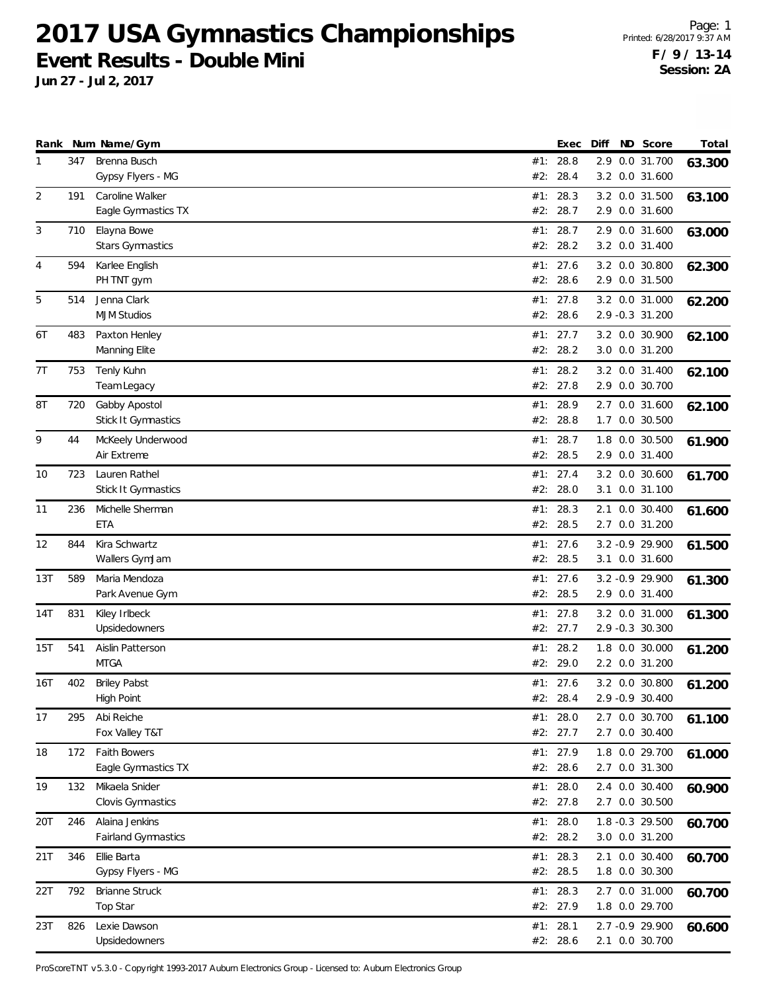**Jun 27 - Jul 2, 2017**

Page: 1 Printed: 6/28/2017 9:37 AM **F / 9 / 13-14 Session: 2A**

|     |     | Rank Num Name/Gym                           |            | Exec                   | Diff | ND Score                           | Total  |
|-----|-----|---------------------------------------------|------------|------------------------|------|------------------------------------|--------|
| 1   | 347 | Brenna Busch<br>Gypsy Flyers - MG           | #1:<br>#2: | 28.8<br>28.4           | 2.9  | 0.0 31.700<br>3.2 0.0 31.600       | 63.300 |
| 2   | 191 | Caroline Walker<br>Eagle Gymnastics TX      | #1:        | 28.3<br>#2: 28.7       |      | 3.2 0.0 31.500<br>2.9 0.0 31.600   | 63.100 |
| 3   | 710 | Elayna Bowe<br><b>Stars Gymnastics</b>      | #1:        | 28.7<br>#2: 28.2       |      | 2.9 0.0 31.600<br>3.2 0.0 31.400   | 63.000 |
| 4   | 594 | Karlee English<br>PH TNT gym                | #2:        | #1: 27.6<br>28.6       |      | 3.2 0.0 30.800<br>2.9 0.0 31.500   | 62.300 |
| 5   | 514 | Jenna Clark<br><b>MJM Studios</b>           | #2:        | #1: 27.8<br>28.6       |      | 3.2 0.0 31.000<br>2.9 -0.3 31.200  | 62.200 |
| 6T  | 483 | Paxton Henley<br>Manning Elite              | #1:        | 27.7<br>#2: 28.2       |      | 3.2 0.0 30.900<br>3.0 0.0 31.200   | 62.100 |
| 7T  | 753 | Tenly Kuhn<br>Team Legacy                   | #2:        | #1: 28.2<br>27.8       |      | 3.2 0.0 31.400<br>2.9 0.0 30.700   | 62.100 |
| 8Τ  | 720 | Gabby Apostol<br>Stick It Gymnastics        | #1:<br>#2: | 28.9<br>28.8           |      | 2.7 0.0 31.600<br>1.7 0.0 30.500   | 62.100 |
| 9   | 44  | McKeely Underwood<br>Air Extreme            | #1:        | 28.7<br>#2: 28.5       | 1.8  | 0.0 30.500<br>2.9 0.0 31.400       | 61.900 |
| 10  | 723 | Lauren Rathel<br><b>Stick It Gymnastics</b> | #2:        | #1: 27.4<br>28.0       |      | 3.2 0.0 30.600<br>3.1 0.0 31.100   | 61.700 |
| 11  | 236 | Michelle Sherman<br><b>ETA</b>              |            | #1: 28.3<br>#2: 28.5   |      | 2.1 0.0 30.400<br>2.7 0.0 31.200   | 61.600 |
| 12  | 844 | Kira Schwartz<br>Wallers GymJam             | #1:<br>#2: | 27.6<br>28.5           |      | 3.2 - 0.9 29.900<br>3.1 0.0 31.600 | 61.500 |
| 13T | 589 | Maria Mendoza<br>Park Avenue Gym            |            | #1: 27.6<br>#2: 28.5   |      | 3.2 - 0.9 29.900<br>2.9 0.0 31.400 | 61.300 |
| 14T | 831 | Kiley Irlbeck<br>Upsidedowners              |            | #1: $27.8$<br>#2: 27.7 |      | 3.2 0.0 31.000<br>2.9 -0.3 30.300  | 61.300 |
| 15T | 541 | Aislin Patterson<br><b>MTGA</b>             | #1:<br>#2: | 28.2<br>29.0           |      | 1.8 0.0 30.000<br>2.2 0.0 31.200   | 61.200 |
| 16T | 402 | <b>Briley Pabst</b><br>High Point           |            | #1: 27.6<br>#2: 28.4   |      | 3.2 0.0 30.800<br>2.9 -0.9 30.400  | 61.200 |
| 17  | 295 | Abi Reiche<br>Fox Valley T&T                |            | #1: 28.0<br>#2: 27.7   |      | 2.7 0.0 30.700<br>2.7 0.0 30.400   | 61.100 |
| 18  | 172 | <b>Faith Bowers</b><br>Eagle Gymnastics TX  |            | #1: 27.9<br>#2: 28.6   |      | 1.8 0.0 29.700<br>2.7 0.0 31.300   | 61.000 |
| 19  | 132 | Mikaela Snider<br>Clovis Gymnastics         |            | #1: 28.0<br>#2: 27.8   |      | 2.4 0.0 30.400<br>2.7 0.0 30.500   | 60.900 |
| 20T | 246 | Alaina Jenkins<br>Fairland Gymnastics       | #1:        | 28.0<br>#2: 28.2       |      | 1.8 -0.3 29.500<br>3.0 0.0 31.200  | 60.700 |
| 21T | 346 | Ellie Barta<br>Gypsy Flyers - MG            |            | #1: 28.3<br>#2: 28.5   |      | 2.1 0.0 30.400<br>1.8 0.0 30.300   | 60.700 |
| 22T | 792 | <b>Brianne Struck</b><br>Top Star           |            | #1: 28.3<br>#2: 27.9   |      | 2.7 0.0 31.000<br>1.8 0.0 29.700   | 60.700 |
| 23T | 826 | Lexie Dawson<br>Upsidedowners               |            | #1: 28.1<br>#2: 28.6   |      | 2.7 -0.9 29.900<br>2.1 0.0 30.700  | 60.600 |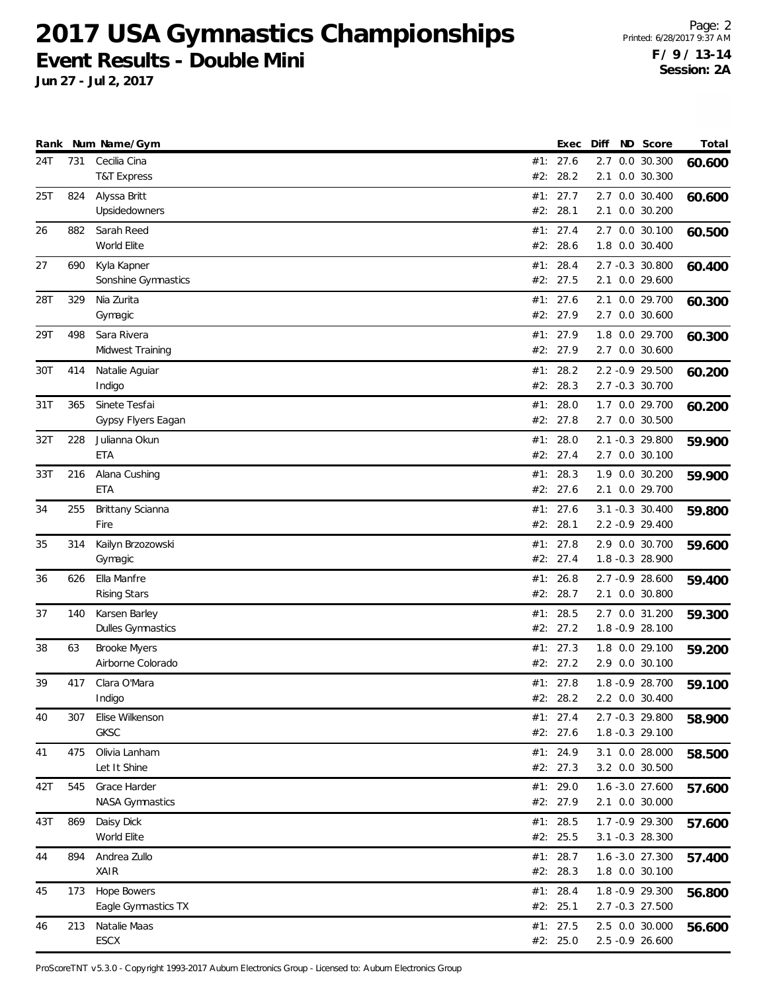**Jun 27 - Jul 2, 2017**

Page: 2 Printed: 6/28/2017 9:37 AM **F / 9 / 13-14 Session: 2A**

| Rank     |            | Num Name/Gym                                         |            | Exec                             | Diff | ND Score                                              | Total  |
|----------|------------|------------------------------------------------------|------------|----------------------------------|------|-------------------------------------------------------|--------|
| 24T      | 731        | Cecilia Cina<br><b>T&amp;T Express</b>               | #2:        | #1: 27.6<br>28.2                 | 2.7  | $0.0$ 30.300<br>2.1 0.0 30.300                        | 60.600 |
| 25T      | 824        | Alyssa Britt<br>Upsidedowners                        | #1:<br>#2: | 27.7<br>28.1                     |      | 2.7 0.0 30.400<br>2.1 0.0 30.200                      | 60.600 |
| 26       | 882        | Sarah Reed<br>World Elite                            | #2:        | #1: 27.4<br>28.6                 |      | 2.7 0.0 30.100<br>1.8 0.0 30.400                      | 60.500 |
| 27       | 690        | Kyla Kapner<br>Sonshine Gymnastics                   | #1:        | 28.4<br>#2: 27.5                 |      | 2.7 -0.3 30.800<br>2.1 0.0 29.600                     | 60.400 |
| 28T      | 329        | Nia Zurita<br>Gymagic                                |            | #1: 27.6<br>#2: 27.9             |      | 2.1 0.0 29.700<br>2.7 0.0 30.600                      | 60.300 |
| 29T      | 498        | Sara Rivera<br>Midwest Training                      | #1:        | 27.9<br>#2: 27.9                 |      | 1.8 0.0 29.700<br>2.7 0.0 30.600                      | 60.300 |
| 30T      | 414        | Natalie Aguiar<br>Indigo                             | #1:<br>#2: | 28.2<br>28.3                     |      | 2.2 -0.9 29.500<br>2.7 -0.3 30.700                    | 60.200 |
| 31T      | 365        | Sinete Tesfai<br>Gypsy Flyers Eagan                  | #1:        | 28.0<br>#2: 27.8                 |      | 1.7 0.0 29.700<br>2.7 0.0 30.500                      | 60.200 |
| 32T      | 228        | Julianna Okun<br>ETA                                 | #1:        | 28.0<br>#2: 27.4                 |      | 2.1 -0.3 29.800<br>2.7 0.0 30.100                     | 59.900 |
| 33T      | 216        | Alana Cushing<br><b>ETA</b>                          |            | #1: 28.3<br>#2: 27.6             |      | 1.9 0.0 30.200<br>2.1 0.0 29.700                      | 59.900 |
| 34       | 255        | Brittany Scianna<br>Fire                             |            | #1: 27.6<br>#2: 28.1             |      | 3.1 -0.3 30.400<br>2.2 -0.9 29.400                    | 59.800 |
| 35       | 314        | Kailyn Brzozowski<br>Gymagic                         | #1:<br>#2: | 27.8<br>27.4                     |      | 2.9 0.0 30.700<br>1.8 -0.3 28.900                     | 59.600 |
| 36       | 626        | Ella Manfre<br><b>Rising Stars</b>                   | #1:        | 26.8<br>#2: 28.7                 |      | 2.7 -0.9 28.600<br>2.1 0.0 30.800                     | 59.400 |
| 37       | 140        | Karsen Barley<br>Dulles Gymnastics                   | #1:        | 28.5<br>#2: 27.2                 |      | 2.7 0.0 31.200<br>1.8 - 0.9 28.100                    | 59.300 |
| 38       | 63         | <b>Brooke Myers</b><br>Airborne Colorado             | #1:        | 27.3<br>#2: 27.2                 |      | 1.8 0.0 29.100<br>2.9 0.0 30.100                      | 59.200 |
| 39       | 417        | Clara O'Mara<br>Indigo                               |            | #1: 27.8<br>#2: 28.2             |      | 1.8 - 0.9 28.700<br>2.2 0.0 30.400                    | 59.100 |
| 40       | 307        | Elise Wilkenson<br>GKSC                              |            | #1: 27.4<br>#2: 27.6             |      | 2.7 -0.3 29.800<br>1.8 -0.3 29.100                    | 58.900 |
| 41       | 475        | Olivia Lanham<br>Let It Shine                        |            | #1: 24.9<br>#2: 27.3             |      | 3.1 0.0 28.000<br>3.2 0.0 30.500                      | 58.500 |
| 42T      | 545<br>869 | Grace Harder<br><b>NASA Gymnastics</b><br>Daisy Dick |            | #1: 29.0<br>#2: 27.9<br>#1: 28.5 |      | 1.6 -3.0 27.600<br>2.1 0.0 30.000<br>1.7 - 0.9 29.300 | 57.600 |
| 43T      | 894        | World Elite<br>Andrea Zullo                          |            | #2: 25.5<br>#1: 28.7             |      | 3.1 -0.3 28.300                                       | 57.600 |
| 44<br>45 | 173        | XAIR<br><b>Hope Bowers</b>                           |            | #2: 28.3<br>#1: 28.4             |      | 1.6 -3.0 27.300<br>1.8 0.0 30.100<br>1.8 - 0.9 29.300 | 57.400 |
|          | 213        | Eagle Gymnastics TX<br>Natalie Maas                  |            | #2: 25.1<br>#1: 27.5             |      | 2.7 -0.3 27.500<br>2.5 0.0 30.000                     | 56.800 |
| 46       |            | ESCX                                                 |            | #2: 25.0                         |      | 2.5 -0.9 26.600                                       | 56.600 |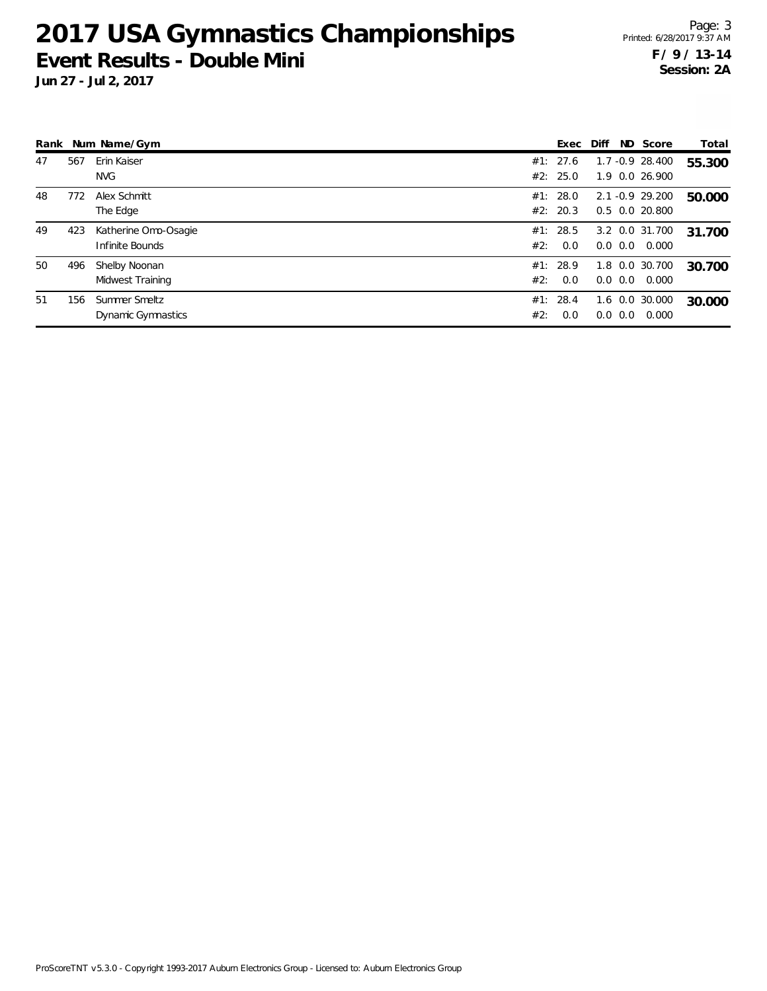**Jun 27 - Jul 2, 2017**

Page: 3 Printed: 6/28/2017 9:37 AM **F / 9 / 13-14 Session: 2A**

|    |     | Rank Num Name/Gym                       |     | Exec                 | Diff |              | ND Score                             | Total  |
|----|-----|-----------------------------------------|-----|----------------------|------|--------------|--------------------------------------|--------|
| 47 | 567 | Erin Kaiser<br>NVG                      |     | #1: 27.6<br>#2: 25.0 |      |              | $1.7 - 0.9$ 28.400<br>1.9 0.0 26.900 | 55.300 |
| 48 | 772 | Alex Schmitt<br>The Edge                |     | #1: 28.0<br>#2: 20.3 |      |              | 2.1 -0.9 29.200<br>0.5 0.0 20.800    | 50.000 |
| 49 | 423 | Katherine Omo-Osagie<br>Infinite Bounds | #2: | #1: 28.5<br>0.0      |      | $0.0 \, 0.0$ | 3.2 0.0 31.700<br>0.000              | 31.700 |
| 50 | 496 | Shelby Noonan<br>Midwest Training       | #2: | #1: 28.9<br>0.0      |      | $0.0 \ 0.0$  | 1.8 0.0 30.700<br>0.000              | 30.700 |
| 51 | 156 | Summer Smeltz<br>Dynamic Gymnastics     | #2: | #1: 28.4<br>0.0      |      | $0.0 \, 0.0$ | 1.6 0.0 30.000<br>0.000              | 30.000 |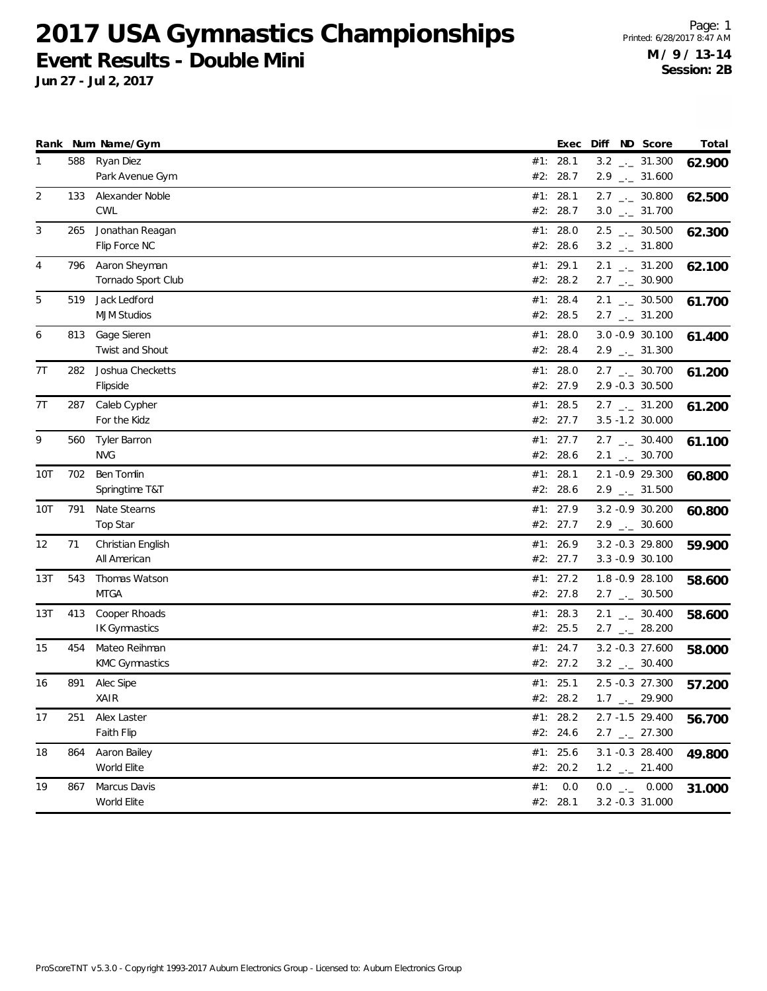**Jun 27 - Jul 2, 2017**

Page: 1 Printed: 6/28/2017 8:47 AM **M / 9 / 13-14 Session: 2B**

| 588<br>Ryan Diez<br>#1: 28.1<br>$3.2$ $_{-}$ 31.300<br>1<br>#2: 28.7<br>Park Avenue Gym<br>$2.9$ $_{\leftarrow}$ 31.600<br>$\overline{2}$<br>Alexander Noble<br>#1: 28.1<br>133<br>$2.7$ $_{\leftarrow}$ 30.800<br>62.500<br>CWL<br>#2: 28.7<br>$3.0$ $_{\leftarrow}$ 31.700<br>Jonathan Reagan<br>$2.5$ $_{\leftarrow}$ 30.500<br>3<br>265<br>#1: 28.0<br>62.300<br>Flip Force NC<br>#2: 28.6<br>$3.2$ _ $-31.800$<br>4<br>Aaron Sheyman<br>#1: 29.1<br>$2.1$ $_{-1}$ 31.200<br>796<br>#2: 28.2<br>Tornado Sport Club<br>$2.7$ $_{\leftarrow}$ 30.900<br>5<br>Jack Ledford<br>#1: 28.4<br>519<br>$2.1$ $_{\leftarrow}$ 30.500<br>61.700<br><b>MJM Studios</b><br>#2: 28.5<br>$2.7$ $_{\leftarrow}$ 31.200<br>Gage Sieren<br>#1: $28.0$<br>3.0 -0.9 30.100<br>813<br>6<br>61.400<br>Twist and Shout<br>#2: 28.4<br>$2.9$ $_{\leftarrow}$ 31.300<br>7T<br>282<br>Joshua Checketts<br>#1: $28.0$<br>$2.7$ $_{\leftarrow}$ 30.700<br>2.9 -0.3 30.500<br>#2: 27.9<br>Flipside<br>#1: 28.5<br>7T<br>287<br>Caleb Cypher<br>$2.7$ $_{\leftarrow}$ 31.200<br>61.200<br>#2: 27.7<br>3.5 -1.2 30.000<br>For the Kidz<br>9<br>#1: 27.7<br>$2.7$ $_{\leftarrow}$ 30.400<br><b>Tyler Barron</b><br>560<br>61.100<br><b>NVG</b><br>#2: 28.6<br>$2.1$ $_{\leftarrow}$ 30.700<br>Ben Tomlin<br>#1: 28.1<br>2.1 -0.9 29.300<br>10T<br>702<br>Springtime T&T<br>#2: 28.6<br>$2.9$ $_{\leftarrow}$ 31.500<br>791<br>Nate Stearns<br>#1: 27.9<br>3.2 - 0.9 30.200<br>10T<br>60.800<br><b>Top Star</b><br>#2: 27.7<br>$2.9$ $_{\leftarrow}$ 30.600<br>71<br>26.9<br>3.2 -0.3 29.800<br>12<br>Christian English<br>#1:<br>#2: 27.7<br>3.3 - 0.9 30.100<br>All American<br>Thomas Watson<br>#1: 27.2<br>1.8 -0.9 28.100<br>13T<br>543<br>58.600<br><b>MTGA</b><br>#2: 27.8<br>$2.7$ $_{\leftarrow}$ 30.500<br>Cooper Rhoads<br>13T<br>413<br>#1: 28.3<br>$2.1$ $_{\leftarrow}$ 30.400<br>#2: 25.5<br><b>IK Gymnastics</b><br>$2.7$ $_{\leftarrow}$ 28.200<br>Mateo Reihman<br>#1: 24.7<br>3.2 -0.3 27.600<br>15<br>454<br><b>KMC Gymnastics</b><br>#2: 27.2<br>$3.2$ $_{--}$ 30.400<br>#1: 25.1<br>2.5 -0.3 27.300<br>16<br>891<br>Alec Sipe<br>57.200<br>XAIR<br>#2: 28.2<br>$1.7$ $_{\leftarrow}$ 29.900<br>2.7 -1.5 29.400<br>Alex Laster<br>#1: $28.2$<br>17<br>251<br>$2.7$ $_{\leftarrow}$ 27.300<br>Faith Flip<br>#2: 24.6<br>#1: 25.6<br>864<br>Aaron Bailey<br>3.1 -0.3 28.400<br>18<br>World Elite<br>#2: 20.2<br>$1.2$ $_{\leftarrow}$ 21.400<br>19<br>Marcus Davis<br>#1:<br>0.0<br>$0.0$ _ 0.000<br>867<br>31.000<br>World Elite<br>#2: 28.1<br>3.2 -0.3 31.000 |  | Rank Num Name/Gym | Exec | Diff ND Score | Total  |
|--------------------------------------------------------------------------------------------------------------------------------------------------------------------------------------------------------------------------------------------------------------------------------------------------------------------------------------------------------------------------------------------------------------------------------------------------------------------------------------------------------------------------------------------------------------------------------------------------------------------------------------------------------------------------------------------------------------------------------------------------------------------------------------------------------------------------------------------------------------------------------------------------------------------------------------------------------------------------------------------------------------------------------------------------------------------------------------------------------------------------------------------------------------------------------------------------------------------------------------------------------------------------------------------------------------------------------------------------------------------------------------------------------------------------------------------------------------------------------------------------------------------------------------------------------------------------------------------------------------------------------------------------------------------------------------------------------------------------------------------------------------------------------------------------------------------------------------------------------------------------------------------------------------------------------------------------------------------------------------------------------------------------------------------------------------------------------------------------------------------------------------------------------------------------------------------------------------------------------------------------------------------------------------------------------------------------------------------------------------------------------------------------------------------------------------------------------------------------------------------------------------------------------------------------------|--|-------------------|------|---------------|--------|
|                                                                                                                                                                                                                                                                                                                                                                                                                                                                                                                                                                                                                                                                                                                                                                                                                                                                                                                                                                                                                                                                                                                                                                                                                                                                                                                                                                                                                                                                                                                                                                                                                                                                                                                                                                                                                                                                                                                                                                                                                                                                                                                                                                                                                                                                                                                                                                                                                                                                                                                                                        |  |                   |      |               | 62.900 |
|                                                                                                                                                                                                                                                                                                                                                                                                                                                                                                                                                                                                                                                                                                                                                                                                                                                                                                                                                                                                                                                                                                                                                                                                                                                                                                                                                                                                                                                                                                                                                                                                                                                                                                                                                                                                                                                                                                                                                                                                                                                                                                                                                                                                                                                                                                                                                                                                                                                                                                                                                        |  |                   |      |               |        |
|                                                                                                                                                                                                                                                                                                                                                                                                                                                                                                                                                                                                                                                                                                                                                                                                                                                                                                                                                                                                                                                                                                                                                                                                                                                                                                                                                                                                                                                                                                                                                                                                                                                                                                                                                                                                                                                                                                                                                                                                                                                                                                                                                                                                                                                                                                                                                                                                                                                                                                                                                        |  |                   |      |               |        |
|                                                                                                                                                                                                                                                                                                                                                                                                                                                                                                                                                                                                                                                                                                                                                                                                                                                                                                                                                                                                                                                                                                                                                                                                                                                                                                                                                                                                                                                                                                                                                                                                                                                                                                                                                                                                                                                                                                                                                                                                                                                                                                                                                                                                                                                                                                                                                                                                                                                                                                                                                        |  |                   |      |               |        |
|                                                                                                                                                                                                                                                                                                                                                                                                                                                                                                                                                                                                                                                                                                                                                                                                                                                                                                                                                                                                                                                                                                                                                                                                                                                                                                                                                                                                                                                                                                                                                                                                                                                                                                                                                                                                                                                                                                                                                                                                                                                                                                                                                                                                                                                                                                                                                                                                                                                                                                                                                        |  |                   |      |               |        |
|                                                                                                                                                                                                                                                                                                                                                                                                                                                                                                                                                                                                                                                                                                                                                                                                                                                                                                                                                                                                                                                                                                                                                                                                                                                                                                                                                                                                                                                                                                                                                                                                                                                                                                                                                                                                                                                                                                                                                                                                                                                                                                                                                                                                                                                                                                                                                                                                                                                                                                                                                        |  |                   |      |               |        |
|                                                                                                                                                                                                                                                                                                                                                                                                                                                                                                                                                                                                                                                                                                                                                                                                                                                                                                                                                                                                                                                                                                                                                                                                                                                                                                                                                                                                                                                                                                                                                                                                                                                                                                                                                                                                                                                                                                                                                                                                                                                                                                                                                                                                                                                                                                                                                                                                                                                                                                                                                        |  |                   |      |               | 62.100 |
|                                                                                                                                                                                                                                                                                                                                                                                                                                                                                                                                                                                                                                                                                                                                                                                                                                                                                                                                                                                                                                                                                                                                                                                                                                                                                                                                                                                                                                                                                                                                                                                                                                                                                                                                                                                                                                                                                                                                                                                                                                                                                                                                                                                                                                                                                                                                                                                                                                                                                                                                                        |  |                   |      |               |        |
|                                                                                                                                                                                                                                                                                                                                                                                                                                                                                                                                                                                                                                                                                                                                                                                                                                                                                                                                                                                                                                                                                                                                                                                                                                                                                                                                                                                                                                                                                                                                                                                                                                                                                                                                                                                                                                                                                                                                                                                                                                                                                                                                                                                                                                                                                                                                                                                                                                                                                                                                                        |  |                   |      |               |        |
|                                                                                                                                                                                                                                                                                                                                                                                                                                                                                                                                                                                                                                                                                                                                                                                                                                                                                                                                                                                                                                                                                                                                                                                                                                                                                                                                                                                                                                                                                                                                                                                                                                                                                                                                                                                                                                                                                                                                                                                                                                                                                                                                                                                                                                                                                                                                                                                                                                                                                                                                                        |  |                   |      |               |        |
|                                                                                                                                                                                                                                                                                                                                                                                                                                                                                                                                                                                                                                                                                                                                                                                                                                                                                                                                                                                                                                                                                                                                                                                                                                                                                                                                                                                                                                                                                                                                                                                                                                                                                                                                                                                                                                                                                                                                                                                                                                                                                                                                                                                                                                                                                                                                                                                                                                                                                                                                                        |  |                   |      |               |        |
|                                                                                                                                                                                                                                                                                                                                                                                                                                                                                                                                                                                                                                                                                                                                                                                                                                                                                                                                                                                                                                                                                                                                                                                                                                                                                                                                                                                                                                                                                                                                                                                                                                                                                                                                                                                                                                                                                                                                                                                                                                                                                                                                                                                                                                                                                                                                                                                                                                                                                                                                                        |  |                   |      |               |        |
|                                                                                                                                                                                                                                                                                                                                                                                                                                                                                                                                                                                                                                                                                                                                                                                                                                                                                                                                                                                                                                                                                                                                                                                                                                                                                                                                                                                                                                                                                                                                                                                                                                                                                                                                                                                                                                                                                                                                                                                                                                                                                                                                                                                                                                                                                                                                                                                                                                                                                                                                                        |  |                   |      |               | 61.200 |
|                                                                                                                                                                                                                                                                                                                                                                                                                                                                                                                                                                                                                                                                                                                                                                                                                                                                                                                                                                                                                                                                                                                                                                                                                                                                                                                                                                                                                                                                                                                                                                                                                                                                                                                                                                                                                                                                                                                                                                                                                                                                                                                                                                                                                                                                                                                                                                                                                                                                                                                                                        |  |                   |      |               |        |
|                                                                                                                                                                                                                                                                                                                                                                                                                                                                                                                                                                                                                                                                                                                                                                                                                                                                                                                                                                                                                                                                                                                                                                                                                                                                                                                                                                                                                                                                                                                                                                                                                                                                                                                                                                                                                                                                                                                                                                                                                                                                                                                                                                                                                                                                                                                                                                                                                                                                                                                                                        |  |                   |      |               |        |
|                                                                                                                                                                                                                                                                                                                                                                                                                                                                                                                                                                                                                                                                                                                                                                                                                                                                                                                                                                                                                                                                                                                                                                                                                                                                                                                                                                                                                                                                                                                                                                                                                                                                                                                                                                                                                                                                                                                                                                                                                                                                                                                                                                                                                                                                                                                                                                                                                                                                                                                                                        |  |                   |      |               |        |
|                                                                                                                                                                                                                                                                                                                                                                                                                                                                                                                                                                                                                                                                                                                                                                                                                                                                                                                                                                                                                                                                                                                                                                                                                                                                                                                                                                                                                                                                                                                                                                                                                                                                                                                                                                                                                                                                                                                                                                                                                                                                                                                                                                                                                                                                                                                                                                                                                                                                                                                                                        |  |                   |      |               |        |
|                                                                                                                                                                                                                                                                                                                                                                                                                                                                                                                                                                                                                                                                                                                                                                                                                                                                                                                                                                                                                                                                                                                                                                                                                                                                                                                                                                                                                                                                                                                                                                                                                                                                                                                                                                                                                                                                                                                                                                                                                                                                                                                                                                                                                                                                                                                                                                                                                                                                                                                                                        |  |                   |      |               |        |
|                                                                                                                                                                                                                                                                                                                                                                                                                                                                                                                                                                                                                                                                                                                                                                                                                                                                                                                                                                                                                                                                                                                                                                                                                                                                                                                                                                                                                                                                                                                                                                                                                                                                                                                                                                                                                                                                                                                                                                                                                                                                                                                                                                                                                                                                                                                                                                                                                                                                                                                                                        |  |                   |      |               | 60.800 |
|                                                                                                                                                                                                                                                                                                                                                                                                                                                                                                                                                                                                                                                                                                                                                                                                                                                                                                                                                                                                                                                                                                                                                                                                                                                                                                                                                                                                                                                                                                                                                                                                                                                                                                                                                                                                                                                                                                                                                                                                                                                                                                                                                                                                                                                                                                                                                                                                                                                                                                                                                        |  |                   |      |               |        |
|                                                                                                                                                                                                                                                                                                                                                                                                                                                                                                                                                                                                                                                                                                                                                                                                                                                                                                                                                                                                                                                                                                                                                                                                                                                                                                                                                                                                                                                                                                                                                                                                                                                                                                                                                                                                                                                                                                                                                                                                                                                                                                                                                                                                                                                                                                                                                                                                                                                                                                                                                        |  |                   |      |               |        |
|                                                                                                                                                                                                                                                                                                                                                                                                                                                                                                                                                                                                                                                                                                                                                                                                                                                                                                                                                                                                                                                                                                                                                                                                                                                                                                                                                                                                                                                                                                                                                                                                                                                                                                                                                                                                                                                                                                                                                                                                                                                                                                                                                                                                                                                                                                                                                                                                                                                                                                                                                        |  |                   |      |               |        |
|                                                                                                                                                                                                                                                                                                                                                                                                                                                                                                                                                                                                                                                                                                                                                                                                                                                                                                                                                                                                                                                                                                                                                                                                                                                                                                                                                                                                                                                                                                                                                                                                                                                                                                                                                                                                                                                                                                                                                                                                                                                                                                                                                                                                                                                                                                                                                                                                                                                                                                                                                        |  |                   |      |               | 59.900 |
|                                                                                                                                                                                                                                                                                                                                                                                                                                                                                                                                                                                                                                                                                                                                                                                                                                                                                                                                                                                                                                                                                                                                                                                                                                                                                                                                                                                                                                                                                                                                                                                                                                                                                                                                                                                                                                                                                                                                                                                                                                                                                                                                                                                                                                                                                                                                                                                                                                                                                                                                                        |  |                   |      |               |        |
|                                                                                                                                                                                                                                                                                                                                                                                                                                                                                                                                                                                                                                                                                                                                                                                                                                                                                                                                                                                                                                                                                                                                                                                                                                                                                                                                                                                                                                                                                                                                                                                                                                                                                                                                                                                                                                                                                                                                                                                                                                                                                                                                                                                                                                                                                                                                                                                                                                                                                                                                                        |  |                   |      |               |        |
|                                                                                                                                                                                                                                                                                                                                                                                                                                                                                                                                                                                                                                                                                                                                                                                                                                                                                                                                                                                                                                                                                                                                                                                                                                                                                                                                                                                                                                                                                                                                                                                                                                                                                                                                                                                                                                                                                                                                                                                                                                                                                                                                                                                                                                                                                                                                                                                                                                                                                                                                                        |  |                   |      |               |        |
|                                                                                                                                                                                                                                                                                                                                                                                                                                                                                                                                                                                                                                                                                                                                                                                                                                                                                                                                                                                                                                                                                                                                                                                                                                                                                                                                                                                                                                                                                                                                                                                                                                                                                                                                                                                                                                                                                                                                                                                                                                                                                                                                                                                                                                                                                                                                                                                                                                                                                                                                                        |  |                   |      |               | 58.600 |
|                                                                                                                                                                                                                                                                                                                                                                                                                                                                                                                                                                                                                                                                                                                                                                                                                                                                                                                                                                                                                                                                                                                                                                                                                                                                                                                                                                                                                                                                                                                                                                                                                                                                                                                                                                                                                                                                                                                                                                                                                                                                                                                                                                                                                                                                                                                                                                                                                                                                                                                                                        |  |                   |      |               |        |
|                                                                                                                                                                                                                                                                                                                                                                                                                                                                                                                                                                                                                                                                                                                                                                                                                                                                                                                                                                                                                                                                                                                                                                                                                                                                                                                                                                                                                                                                                                                                                                                                                                                                                                                                                                                                                                                                                                                                                                                                                                                                                                                                                                                                                                                                                                                                                                                                                                                                                                                                                        |  |                   |      |               | 58.000 |
|                                                                                                                                                                                                                                                                                                                                                                                                                                                                                                                                                                                                                                                                                                                                                                                                                                                                                                                                                                                                                                                                                                                                                                                                                                                                                                                                                                                                                                                                                                                                                                                                                                                                                                                                                                                                                                                                                                                                                                                                                                                                                                                                                                                                                                                                                                                                                                                                                                                                                                                                                        |  |                   |      |               |        |
|                                                                                                                                                                                                                                                                                                                                                                                                                                                                                                                                                                                                                                                                                                                                                                                                                                                                                                                                                                                                                                                                                                                                                                                                                                                                                                                                                                                                                                                                                                                                                                                                                                                                                                                                                                                                                                                                                                                                                                                                                                                                                                                                                                                                                                                                                                                                                                                                                                                                                                                                                        |  |                   |      |               |        |
|                                                                                                                                                                                                                                                                                                                                                                                                                                                                                                                                                                                                                                                                                                                                                                                                                                                                                                                                                                                                                                                                                                                                                                                                                                                                                                                                                                                                                                                                                                                                                                                                                                                                                                                                                                                                                                                                                                                                                                                                                                                                                                                                                                                                                                                                                                                                                                                                                                                                                                                                                        |  |                   |      |               |        |
|                                                                                                                                                                                                                                                                                                                                                                                                                                                                                                                                                                                                                                                                                                                                                                                                                                                                                                                                                                                                                                                                                                                                                                                                                                                                                                                                                                                                                                                                                                                                                                                                                                                                                                                                                                                                                                                                                                                                                                                                                                                                                                                                                                                                                                                                                                                                                                                                                                                                                                                                                        |  |                   |      |               | 56.700 |
|                                                                                                                                                                                                                                                                                                                                                                                                                                                                                                                                                                                                                                                                                                                                                                                                                                                                                                                                                                                                                                                                                                                                                                                                                                                                                                                                                                                                                                                                                                                                                                                                                                                                                                                                                                                                                                                                                                                                                                                                                                                                                                                                                                                                                                                                                                                                                                                                                                                                                                                                                        |  |                   |      |               |        |
|                                                                                                                                                                                                                                                                                                                                                                                                                                                                                                                                                                                                                                                                                                                                                                                                                                                                                                                                                                                                                                                                                                                                                                                                                                                                                                                                                                                                                                                                                                                                                                                                                                                                                                                                                                                                                                                                                                                                                                                                                                                                                                                                                                                                                                                                                                                                                                                                                                                                                                                                                        |  |                   |      |               | 49.800 |
|                                                                                                                                                                                                                                                                                                                                                                                                                                                                                                                                                                                                                                                                                                                                                                                                                                                                                                                                                                                                                                                                                                                                                                                                                                                                                                                                                                                                                                                                                                                                                                                                                                                                                                                                                                                                                                                                                                                                                                                                                                                                                                                                                                                                                                                                                                                                                                                                                                                                                                                                                        |  |                   |      |               |        |
|                                                                                                                                                                                                                                                                                                                                                                                                                                                                                                                                                                                                                                                                                                                                                                                                                                                                                                                                                                                                                                                                                                                                                                                                                                                                                                                                                                                                                                                                                                                                                                                                                                                                                                                                                                                                                                                                                                                                                                                                                                                                                                                                                                                                                                                                                                                                                                                                                                                                                                                                                        |  |                   |      |               |        |
|                                                                                                                                                                                                                                                                                                                                                                                                                                                                                                                                                                                                                                                                                                                                                                                                                                                                                                                                                                                                                                                                                                                                                                                                                                                                                                                                                                                                                                                                                                                                                                                                                                                                                                                                                                                                                                                                                                                                                                                                                                                                                                                                                                                                                                                                                                                                                                                                                                                                                                                                                        |  |                   |      |               |        |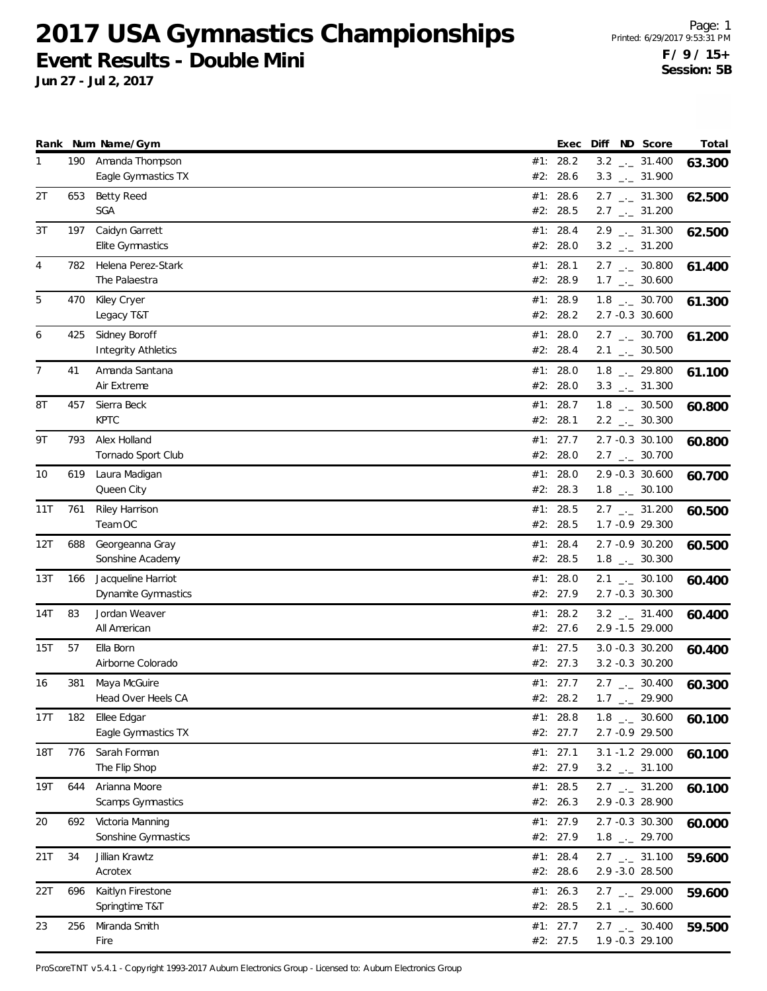**Jun 27 - Jul 2, 2017**

|                |     | Rank Num Name/Gym                           | Exec                   | Diff ND Score                                                | Total  |
|----------------|-----|---------------------------------------------|------------------------|--------------------------------------------------------------|--------|
| $\mathbf{1}$   | 190 | Amanda Thompson<br>Eagle Gymnastics TX      | #1: 28.2<br>#2: 28.6   | $3.2$ $_{\leftarrow}$ 31.400<br>$3.3$ $_{-1}$ 31.900         | 63.300 |
| 2T             | 653 | <b>Betty Reed</b><br>SGA                    | #1: 28.6<br>#2: 28.5   | $2.7$ $_{\leftarrow}$ 31.300<br>$2.7$ $_{\leftarrow}$ 31.200 | 62.500 |
| 3T             | 197 | Caidyn Garrett<br>Elite Gymnastics          | #1: 28.4<br>#2: 28.0   | $2.9$ $_{\leftarrow}$ 31.300<br>$3.2$ $_{\leftarrow}$ 31.200 | 62.500 |
| 4              | 782 | Helena Perez-Stark<br>The Palaestra         | #1: 28.1<br>#2: 28.9   | $2.7$ $_{\leftarrow}$ 30.800<br>$1.7$ $_{\leftarrow}$ 30.600 | 61.400 |
| 5              | 470 | Kiley Cryer<br>Legacy T&T                   | #1: 28.9<br>#2: 28.2   | $1.8$ $_{\leftarrow}$ 30.700<br>2.7 -0.3 30.600              | 61.300 |
| 6              | 425 | Sidney Boroff<br><b>Integrity Athletics</b> | #1: $28.0$<br>#2: 28.4 | $2.7$ $_{\leftarrow}$ 30.700<br>$2.1$ $_{\leftarrow}$ 30.500 | 61.200 |
| $\overline{7}$ | 41  | Amanda Santana<br>Air Extreme               | #1: 28.0<br>#2: 28.0   | $1.8$ $_{-}$ 29.800<br>$3.3$ $_{\leftarrow}$ 31.300          | 61.100 |
| 8T             | 457 | Sierra Beck<br><b>KPTC</b>                  | #1: 28.7<br>#2: 28.1   | $1.8$ $_{-}$ 30.500<br>$2.2$ $_{\leftarrow}$ 30.300          | 60.800 |
| 9Τ             | 793 | Alex Holland<br>Tornado Sport Club          | #1: 27.7<br>#2: 28.0   | 2.7 -0.3 30.100<br>$2.7$ $_{\leftarrow}$ 30.700              | 60.800 |
| 10             | 619 | Laura Madigan<br>Queen City                 | #1: $28.0$<br>#2: 28.3 | 2.9 -0.3 30.600<br>$1.8$ $_{\leftarrow}$ 30.100              | 60.700 |
| 11T            | 761 | Riley Harrison<br>Team OC                   | #1: 28.5<br>#2: 28.5   | $2.7$ $_{\leftarrow}$ 31.200<br>1.7 - 0.9 29.300             | 60.500 |
| 12T            | 688 | Georgeanna Gray<br>Sonshine Academy         | #1: 28.4<br>#2: 28.5   | 2.7 -0.9 30.200<br>$1.8$ $_{-1}$ 30.300                      | 60.500 |
| 13T            | 166 | Jacqueline Harriot<br>Dynamite Gymnastics   | #1: $28.0$<br>#2: 27.9 | $2.1$ _._ 30.100<br>2.7 -0.3 30.300                          | 60.400 |
| 14T            | 83  | Jordan Weaver<br>All American               | #1: 28.2<br>#2: 27.6   | $3.2$ $_{\leftarrow}$ 31.400<br>2.9 -1.5 29.000              | 60.400 |
| 15T            | 57  | Ella Born<br>Airborne Colorado              | #1: 27.5<br>#2: 27.3   | 3.0 -0.3 30.200<br>3.2 -0.3 30.200                           | 60.400 |
| 16             | 381 | Maya McGuire<br>Head Over Heels CA          | #1: 27.7<br>#2: 28.2   | $2.7$ $_{\leftarrow}$ 30.400<br>29.900<br>$1.7$ _.           | 60.300 |
| 17T            | 182 | Ellee Edgar<br>Eagle Gymnastics TX          | #1: 28.8<br>#2: 27.7   | $1.8$ $_{\leftarrow}$ 30.600<br>2.7 -0.9 29.500              | 60.100 |
| <b>18T</b>     | 776 | Sarah Forman<br>The Flip Shop               | #1: 27.1<br>#2: 27.9   | 3.1 -1.2 29.000<br>$3.2$ $_{\leftarrow}$ 31.100              | 60.100 |
| 19T            | 644 | Arianna Moore<br>Scamps Gymnastics          | #1: $28.5$<br>#2: 26.3 | $2.7$ $_{\leftarrow}$ 31.200<br>2.9 -0.3 28.900              | 60.100 |
| 20             | 692 | Victoria Manning<br>Sonshine Gymnastics     | #1: 27.9<br>#2: 27.9   | 2.7 -0.3 30.300<br>$1.8$ $_{-}$ 29.700                       | 60.000 |
| 21T            | 34  | Jillian Krawtz<br>Acrotex                   | #1: 28.4<br>#2: 28.6   | $2.7$ $_{\leftarrow}$ 31.100<br>2.9 -3.0 28.500              | 59.600 |
| 22T            | 696 | Kaitlyn Firestone<br>Springtime T&T         | #1: 26.3<br>#2: 28.5   | $2.7$ $_{\leftarrow}$ 29.000<br>$2.1$ $_{\leftarrow}$ 30.600 | 59.600 |
| 23             | 256 | Miranda Smith<br>Fire                       | #1: 27.7<br>#2: 27.5   | $2.7$ $_{\leftarrow}$ 30.400<br>1.9 -0.3 29.100              | 59.500 |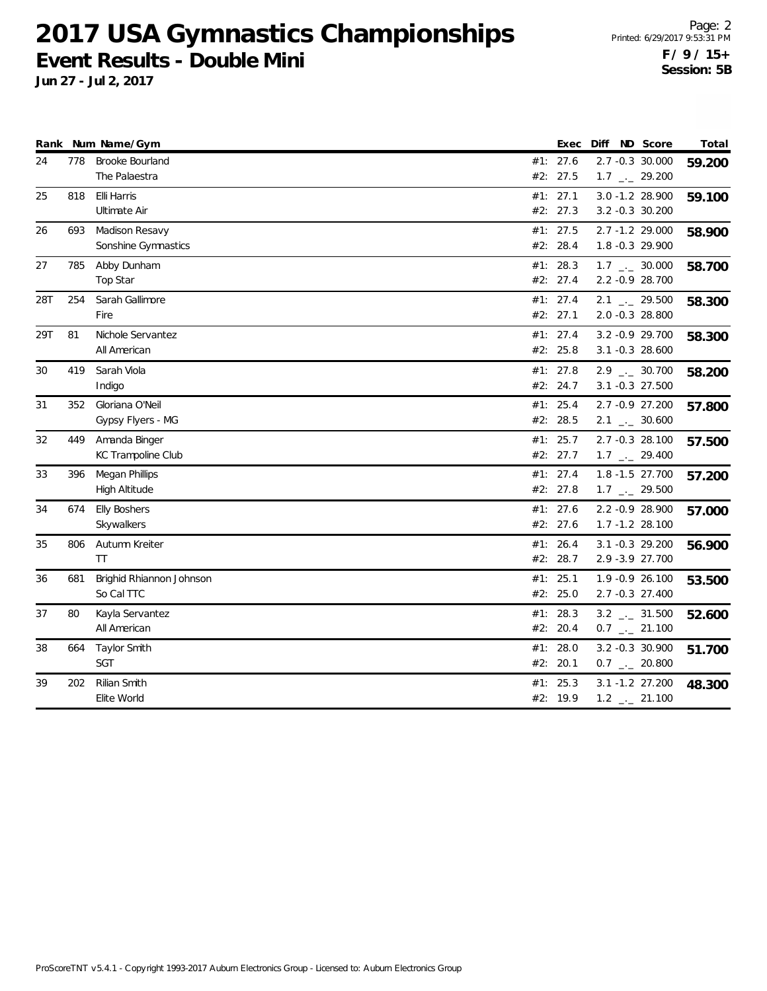**Jun 27 - Jul 2, 2017**

| Rank |     | Num Name/Gym                               | Exec                 | Diff                                                         | ND Score | Total  |
|------|-----|--------------------------------------------|----------------------|--------------------------------------------------------------|----------|--------|
| 24   | 778 | Brooke Bourland<br>The Palaestra           | #1: 27.6<br>#2: 27.5 | 2.7 -0.3 30.000<br>$1.7$ $_{-}$ 29.200                       |          | 59.200 |
| 25   | 818 | Elli Harris<br>Ultimate Air                | #1: 27.1<br>#2: 27.3 | 3.0 -1.2 28.900<br>3.2 -0.3 30.200                           |          | 59.100 |
| 26   | 693 | Madison Resavy<br>Sonshine Gymnastics      | #1: 27.5<br>#2: 28.4 | 2.7 -1.2 29.000<br>1.8 -0.3 29.900                           |          | 58.900 |
| 27   | 785 | Abby Dunham<br>Top Star                    | #1: 28.3<br>#2: 27.4 | $1.7$ $_{\leftarrow}$ 30.000<br>2.2 -0.9 28.700              |          | 58.700 |
| 28T  | 254 | Sarah Gallimore<br>Fire                    | #1: 27.4<br>#2: 27.1 | $2.1$ $_{\leftarrow}$ 29.500<br>2.0 -0.3 28.800              |          | 58.300 |
| 29T  | 81  | Nichole Servantez<br>All American          | #1: 27.4<br>#2: 25.8 | 3.2 - 0.9 29.700<br>3.1 -0.3 28.600                          |          | 58.300 |
| 30   | 419 | Sarah Viola<br>Indigo                      | #1: 27.8<br>#2: 24.7 | $2.9$ $_{\leftarrow}$ 30.700<br>3.1 -0.3 27.500              |          | 58.200 |
| 31   | 352 | Gloriana O'Neil<br>Gypsy Flyers - MG       | #1: 25.4<br>#2: 28.5 | 2.7 -0.9 27.200<br>$2.1$ $_{-}$ 30.600                       |          | 57.800 |
| 32   | 449 | Amanda Binger<br><b>KC Trampoline Club</b> | #1: 25.7<br>#2: 27.7 | 2.7 -0.3 28.100<br>$1.7$ $_{\leftarrow}$ 29.400              |          | 57.500 |
| 33   | 396 | Megan Phillips<br>High Altitude            | #1: 27.4<br>#2: 27.8 | 1.8 -1.5 27.700<br>$1.7$ $_{\leftarrow}$ 29.500              |          | 57.200 |
| 34   | 674 | <b>Elly Boshers</b><br>Skywalkers          | #1: 27.6<br>#2: 27.6 | 2.2 -0.9 28.900<br>1.7 -1.2 28.100                           |          | 57.000 |
| 35   | 806 | Autumn Kreiter<br><b>TT</b>                | #1: 26.4<br>#2: 28.7 | 3.1 -0.3 29.200<br>2.9 - 3.9 27.700                          |          | 56.900 |
| 36   | 681 | Brighid Rhiannon Johnson<br>So Cal TTC     | #1: 25.1<br>#2: 25.0 | 1.9 -0.9 26.100<br>2.7 -0.3 27.400                           |          | 53.500 |
| 37   | 80  | Kayla Servantez<br>All American            | #1: 28.3<br>#2: 20.4 | $3.2$ $_{\leftarrow}$ 31.500<br>$0.7$ $_{\leftarrow}$ 21.100 |          | 52.600 |
| 38   | 664 | Taylor Smith<br><b>SGT</b>                 | #1: 28.0<br>#2: 20.1 | 3.2 -0.3 30.900<br>$0.7$ _ 20.800                            |          | 51.700 |
| 39   | 202 | Rilian Smith<br>Elite World                | #1: 25.3<br>#2: 19.9 | 3.1 -1.2 27.200<br>$1.2$ $_{-}$ 21.100                       |          | 48.300 |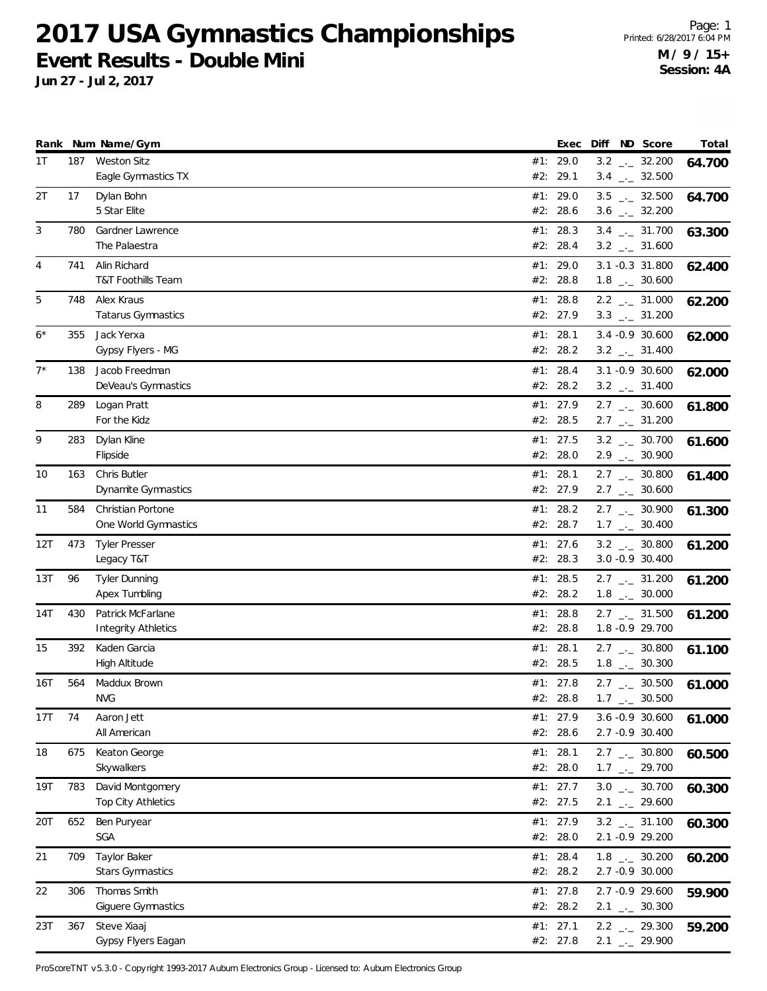**Jun 27 - Jul 2, 2017**

|       |     | Rank Num Name/Gym                                 |     | Exec                   |  | Diff ND Score                                                | Total  |
|-------|-----|---------------------------------------------------|-----|------------------------|--|--------------------------------------------------------------|--------|
| 1T    | 187 | <b>Weston Sitz</b><br>Eagle Gymnastics TX         | #2: | #1: 29.0<br>29.1       |  | $3.2$ _ $-32.200$<br>$3.4$ $_{\leftarrow}$ 32.500            | 64.700 |
| 2T    | 17  | Dylan Bohn                                        |     | #1: 29.0               |  | $3.5$ _ $-32.500$                                            | 64.700 |
|       |     | 5 Star Elite                                      |     | #2: 28.6               |  | $3.6$ $_{\leftarrow}$ 32.200                                 |        |
| 3     | 780 | Gardner Lawrence                                  |     | #1: 28.3               |  | $3.4$ $_{-}$ 31.700                                          | 63.300 |
|       |     | The Palaestra                                     |     | #2: 28.4               |  | $3.2$ _ $-31.600$                                            |        |
| 4     | 741 | Alin Richard                                      |     | #1: 29.0               |  | 3.1 -0.3 31.800                                              | 62.400 |
|       |     | T&T Foothills Team                                |     | #2: 28.8               |  | $1.8$ $_{\leftarrow}$ 30.600                                 |        |
| 5     | 748 | Alex Kraus<br>Tatarus Gymnastics                  |     | #1: 28.8<br>#2: 27.9   |  | $2.2$ $_{\leftarrow}$ 31.000<br>$3.3$ $_{\leftarrow}$ 31.200 | 62.200 |
| $6*$  | 355 | Jack Yerxa                                        |     | #1: 28.1               |  | 3.4 -0.9 30.600                                              |        |
|       |     | Gypsy Flyers - MG                                 |     | #2: 28.2               |  | $3.2$ _ $-31.400$                                            | 62.000 |
| $7^*$ | 138 | Jacob Freedman                                    |     | #1: 28.4               |  | 3.1 -0.9 30.600                                              | 62.000 |
|       |     | DeVeau's Gymnastics                               |     | #2: 28.2               |  | $3.2$ _ $-31.400$                                            |        |
| 8     | 289 | Logan Pratt                                       |     | #1: 27.9               |  | $2.7$ $_{\leftarrow}$ 30.600                                 | 61.800 |
|       |     | For the Kidz                                      |     | #2: 28.5               |  | $2.7$ $_{\leftarrow}$ 31.200                                 |        |
| 9     | 283 | Dylan Kline                                       |     | #1: 27.5               |  | $3.2$ _ 30.700                                               | 61.600 |
|       |     | Flipside                                          |     | #2: 28.0               |  | $2.9$ $_{\leftarrow}$ 30.900                                 |        |
| 10    | 163 | <b>Chris Butler</b><br><b>Dynamite Gymnastics</b> |     | #1: 28.1               |  | $2.7$ $_{\leftarrow}$ 30.800                                 | 61.400 |
|       |     |                                                   |     | #2: 27.9               |  | $2.7$ $_{\leftarrow}$ 30.600                                 |        |
| 11    | 584 | Christian Portone<br>One World Gymnastics         |     | #1: 28.2<br>#2: 28.7   |  | $2.7$ $_{\leftarrow}$ 30.900<br>$1.7$ $_{\leftarrow}$ 30.400 | 61.300 |
| 12T   | 473 | <b>Tyler Presser</b>                              |     | #1: 27.6               |  | $3.2$ _ 30.800                                               | 61.200 |
|       |     | Legacy T&T                                        |     | #2: 28.3               |  | 3.0 -0.9 30.400                                              |        |
| 13T   | 96  | <b>Tyler Dunning</b>                              |     | #1: 28.5               |  | $2.7$ $_{\leftarrow}$ 31.200                                 | 61.200 |
|       |     | Apex Tumbling                                     |     | #2: 28.2               |  | $1.8$ $_{\leftarrow}$ 30.000                                 |        |
| 14T   | 430 | Patrick McFarlane                                 |     | #1: 28.8               |  | $2.7$ $_{\leftarrow}$ 31.500                                 | 61.200 |
|       |     | <b>Integrity Athletics</b>                        |     | #2: 28.8               |  | 1.8 - 0.9 29.700                                             |        |
| 15    | 392 | Kaden Garcia                                      |     | #1: 28.1               |  | $2.7$ $_{\leftarrow}$ 30.800                                 | 61.100 |
|       |     | <b>High Altitude</b>                              |     | #2: 28.5               |  | $1.8$ $_{-}$ 30.300                                          |        |
| 16T   | 564 | Maddux Brown<br><b>NVG</b>                        |     | #1: 27.8<br>#2: 28.8   |  | $2.7$ $_{\leftarrow}$ 30.500<br>$1.7$ _. 30.500              | 61.000 |
| 17T   | 74  | Aaron Jett                                        |     | #1: 27.9               |  | 3.6 -0.9 30.600                                              |        |
|       |     | All American                                      |     | #2: 28.6               |  | 2.7 -0.9 30.400                                              | 61.000 |
| 18    | 675 | Keaton George                                     |     | #1: 28.1               |  | $2.7$ $_{\leftarrow}$ 30.800                                 | 60.500 |
|       |     | Skywalkers                                        |     | #2: 28.0               |  | $1.7$ $_{\leftarrow}$ 29.700                                 |        |
| 19T   | 783 | David Montgomery                                  |     | #1: $27.7$             |  | $3.0$ $_{\leftarrow -}$ 30.700                               | 60.300 |
|       |     | Top City Athletics                                |     | #2: 27.5               |  | $2.1$ $_{-}$ 29.600                                          |        |
| 20T   | 652 | Ben Puryear                                       |     | #1: 27.9               |  | $3.2$ $-2$ 31.100                                            | 60.300 |
|       |     | SGA                                               |     | #2: 28.0               |  | 2.1 -0.9 29.200                                              |        |
| 21    | 709 | Taylor Baker                                      |     | #1: 28.4               |  | $1.8$ $_{\leftarrow}$ 30.200                                 | 60.200 |
|       |     | Stars Gymnastics                                  |     | #2: 28.2               |  | 2.7 -0.9 30.000                                              |        |
| 22    | 306 | Thomas Smith<br>Giguere Gymnastics                |     | #1: $27.8$<br>#2: 28.2 |  | 2.7 -0.9 29.600<br>$2.1$ $_{-1}$ 30.300                      | 59.900 |
| 23T   | 367 | Steve Xiaaj                                       |     | #1: 27.1               |  | $2.2$ $_{-}$ 29.300                                          |        |
|       |     | Gypsy Flyers Eagan                                |     | #2: 27.8               |  | $2.1$ $_{-1}$ 29.900                                         | 59.200 |
|       |     |                                                   |     |                        |  |                                                              |        |